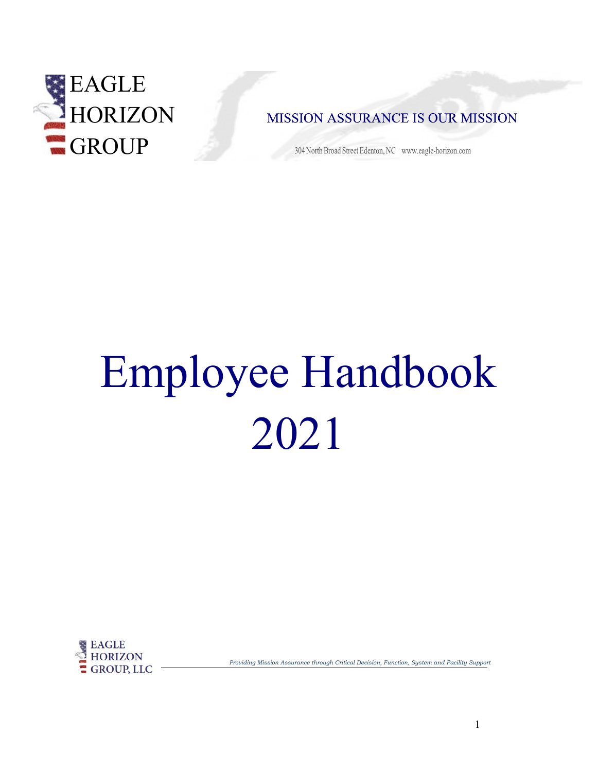

# MISSION ASSURANCE IS OUR MISSION

304 North Broad Street Edenton, NC www.eagle-horizon.com

# Employee Handbook 2021



*Providing Mission Assurance through Critical Decision, Function, System and Facility Support*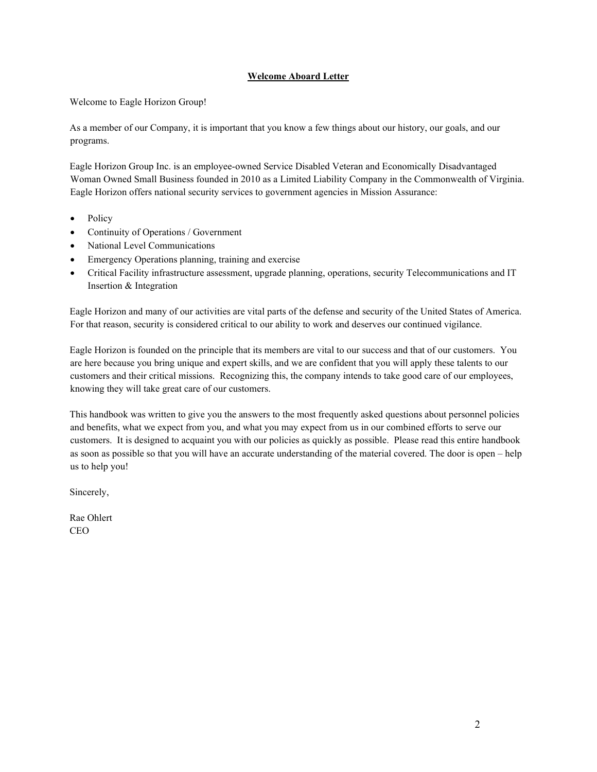# **Welcome Aboard Letter**

Welcome to Eagle Horizon Group!

As a member of our Company, it is important that you know a few things about our history, our goals, and our programs.

Eagle Horizon Group Inc. is an employee-owned Service Disabled Veteran and Economically Disadvantaged Woman Owned Small Business founded in 2010 as a Limited Liability Company in the Commonwealth of Virginia. Eagle Horizon offers national security services to government agencies in Mission Assurance:

- **Policy**
- Continuity of Operations / Government
- National Level Communications
- Emergency Operations planning, training and exercise
- Critical Facility infrastructure assessment, upgrade planning, operations, security Telecommunications and IT Insertion & Integration

Eagle Horizon and many of our activities are vital parts of the defense and security of the United States of America. For that reason, security is considered critical to our ability to work and deserves our continued vigilance.

Eagle Horizon is founded on the principle that its members are vital to our success and that of our customers. You are here because you bring unique and expert skills, and we are confident that you will apply these talents to our customers and their critical missions. Recognizing this, the company intends to take good care of our employees, knowing they will take great care of our customers.

This handbook was written to give you the answers to the most frequently asked questions about personnel policies and benefits, what we expect from you, and what you may expect from us in our combined efforts to serve our customers. It is designed to acquaint you with our policies as quickly as possible. Please read this entire handbook as soon as possible so that you will have an accurate understanding of the material covered. The door is open – help us to help you!

Sincerely,

Rae Ohlert **CEO**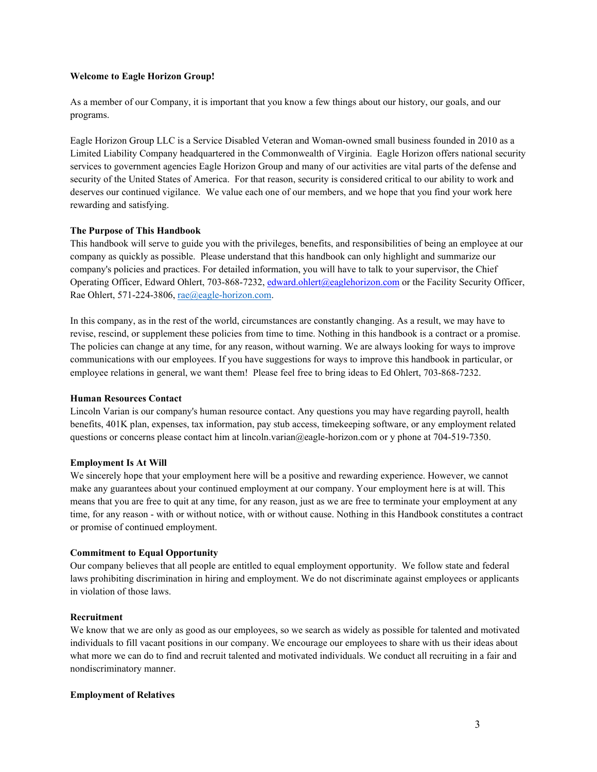# **Welcome to Eagle Horizon Group!**

As a member of our Company, it is important that you know a few things about our history, our goals, and our programs.

Eagle Horizon Group LLC is a Service Disabled Veteran and Woman-owned small business founded in 2010 as a Limited Liability Company headquartered in the Commonwealth of Virginia. Eagle Horizon offers national security services to government agencies Eagle Horizon Group and many of our activities are vital parts of the defense and security of the United States of America. For that reason, security is considered critical to our ability to work and deserves our continued vigilance. We value each one of our members, and we hope that you find your work here rewarding and satisfying.

#### **The Purpose of This Handbook**

This handbook will serve to guide you with the privileges, benefits, and responsibilities of being an employee at our company as quickly as possible. Please understand that this handbook can only highlight and summarize our company's policies and practices. For detailed information, you will have to talk to your supervisor, the Chief Operating Officer, Edward Ohlert, 703-868-7232, edward.ohlert@eaglehorizon.com or the Facility Security Officer, Rae Ohlert, 571-224-3806, [rae@eagle-horizon.com.](mailto:rae@eagle-horizon.com)

In this company, as in the rest of the world, circumstances are constantly changing. As a result, we may have to revise, rescind, or supplement these policies from time to time. Nothing in this handbook is a contract or a promise. The policies can change at any time, for any reason, without warning. We are always looking for ways to improve communications with our employees. If you have suggestions for ways to improve this handbook in particular, or employee relations in general, we want them! Please feel free to bring ideas to Ed Ohlert, 703-868-7232.

#### **Human Resources Contact**

Lincoln Varian is our company's human resource contact. Any questions you may have regarding payroll, health benefits, 401K plan, expenses, tax information, pay stub access, timekeeping software, or any employment related questions or concerns please contact him at lincoln.varian@eagle-horizon.com or y phone at 704-519-7350.

#### **Employment Is At Will**

We sincerely hope that your employment here will be a positive and rewarding experience. However, we cannot make any guarantees about your continued employment at our company. Your employment here is at will. This means that you are free to quit at any time, for any reason, just as we are free to terminate your employment at any time, for any reason - with or without notice, with or without cause. Nothing in this Handbook constitutes a contract or promise of continued employment.

#### **Commitment to Equal Opportunity**

Our company believes that all people are entitled to equal employment opportunity. We follow state and federal laws prohibiting discrimination in hiring and employment. We do not discriminate against employees or applicants in violation of those laws.

#### **Recruitment**

We know that we are only as good as our employees, so we search as widely as possible for talented and motivated individuals to fill vacant positions in our company. We encourage our employees to share with us their ideas about what more we can do to find and recruit talented and motivated individuals. We conduct all recruiting in a fair and nondiscriminatory manner.

#### **Employment of Relatives**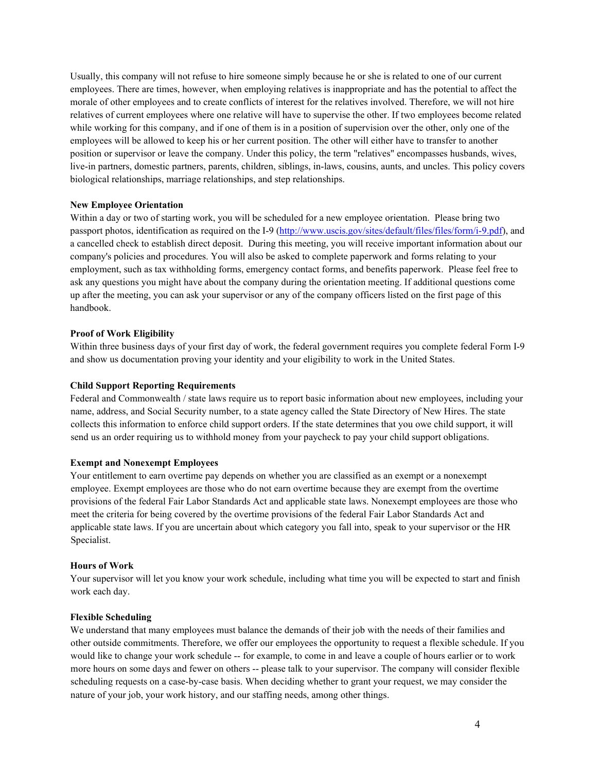Usually, this company will not refuse to hire someone simply because he or she is related to one of our current employees. There are times, however, when employing relatives is inappropriate and has the potential to affect the morale of other employees and to create conflicts of interest for the relatives involved. Therefore, we will not hire relatives of current employees where one relative will have to supervise the other. If two employees become related while working for this company, and if one of them is in a position of supervision over the other, only one of the employees will be allowed to keep his or her current position. The other will either have to transfer to another position or supervisor or leave the company. Under this policy, the term "relatives" encompasses husbands, wives, live-in partners, domestic partners, parents, children, siblings, in-laws, cousins, aunts, and uncles. This policy covers biological relationships, marriage relationships, and step relationships.

#### **New Employee Orientation**

Within a day or two of starting work, you will be scheduled for a new employee orientation. Please bring two passport photos, identification as required on the I-9 [\(http://www.uscis.gov/sites/default/files/files/form/i-9.pdf\),](http://www.uscis.gov/sites/default/files/files/form/i-9.pdf) and a cancelled check to establish direct deposit. During this meeting, you will receive important information about our company's policies and procedures. You will also be asked to complete paperwork and forms relating to your employment, such as tax withholding forms, emergency contact forms, and benefits paperwork. Please feel free to ask any questions you might have about the company during the orientation meeting. If additional questions come up after the meeting, you can ask your supervisor or any of the company officers listed on the first page of this handbook.

#### **Proof of Work Eligibility**

Within three business days of your first day of work, the federal government requires you complete federal Form I-9 and show us documentation proving your identity and your eligibility to work in the United States.

#### **Child Support Reporting Requirements**

Federal and Commonwealth / state laws require us to report basic information about new employees, including your name, address, and Social Security number, to a state agency called the State Directory of New Hires. The state collects this information to enforce child support orders. If the state determines that you owe child support, it will send us an order requiring us to withhold money from your paycheck to pay your child support obligations.

#### **Exempt and Nonexempt Employees**

Your entitlement to earn overtime pay depends on whether you are classified as an exempt or a nonexempt employee. Exempt employees are those who do not earn overtime because they are exempt from the overtime provisions of the federal Fair Labor Standards Act and applicable state laws. Nonexempt employees are those who meet the criteria for being covered by the overtime provisions of the federal Fair Labor Standards Act and applicable state laws. If you are uncertain about which category you fall into, speak to your supervisor or the HR Specialist.

#### **Hours of Work**

Your supervisor will let you know your work schedule, including what time you will be expected to start and finish work each day.

#### **Flexible Scheduling**

We understand that many employees must balance the demands of their job with the needs of their families and other outside commitments. Therefore, we offer our employees the opportunity to request a flexible schedule. If you would like to change your work schedule -- for example, to come in and leave a couple of hours earlier or to work more hours on some days and fewer on others -- please talk to your supervisor. The company will consider flexible scheduling requests on a case-by-case basis. When deciding whether to grant your request, we may consider the nature of your job, your work history, and our staffing needs, among other things.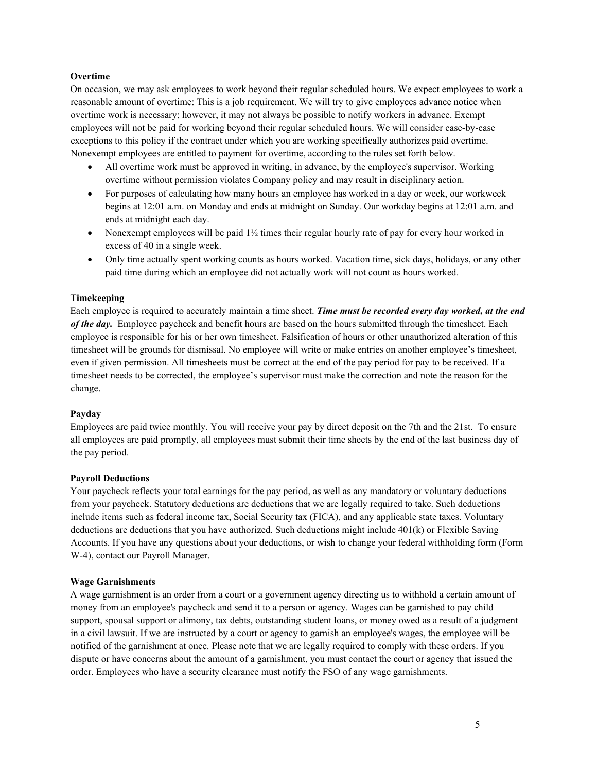# **Overtime**

On occasion, we may ask employees to work beyond their regular scheduled hours. We expect employees to work a reasonable amount of overtime: This is a job requirement. We will try to give employees advance notice when overtime work is necessary; however, it may not always be possible to notify workers in advance. Exempt employees will not be paid for working beyond their regular scheduled hours. We will consider case-by-case exceptions to this policy if the contract under which you are working specifically authorizes paid overtime. Nonexempt employees are entitled to payment for overtime, according to the rules set forth below.

- All overtime work must be approved in writing, in advance, by the employee's supervisor. Working overtime without permission violates Company policy and may result in disciplinary action.
- For purposes of calculating how many hours an employee has worked in a day or week, our workweek begins at 12:01 a.m. on Monday and ends at midnight on Sunday. Our workday begins at 12:01 a.m. and ends at midnight each day.
- Nonexempt employees will be paid  $1\frac{1}{2}$  times their regular hourly rate of pay for every hour worked in excess of 40 in a single week.
- Only time actually spent working counts as hours worked. Vacation time, sick days, holidays, or any other paid time during which an employee did not actually work will not count as hours worked.

#### **Timekeeping**

Each employee is required to accurately maintain a time sheet. *Time must be recorded every day worked, at the end of the day.* Employee paycheck and benefit hours are based on the hours submitted through the timesheet. Each employee is responsible for his or her own timesheet. Falsification of hours or other unauthorized alteration of this timesheet will be grounds for dismissal. No employee will write or make entries on another employee's timesheet, even if given permission. All timesheets must be correct at the end of the pay period for pay to be received. If a timesheet needs to be corrected, the employee's supervisor must make the correction and note the reason for the change.

#### **Payday**

Employees are paid twice monthly. You will receive your pay by direct deposit on the 7th and the 21st. To ensure all employees are paid promptly, all employees must submit their time sheets by the end of the last business day of the pay period.

#### **Payroll Deductions**

Your paycheck reflects your total earnings for the pay period, as well as any mandatory or voluntary deductions from your paycheck. Statutory deductions are deductions that we are legally required to take. Such deductions include items such as federal income tax, Social Security tax (FICA), and any applicable state taxes. Voluntary deductions are deductions that you have authorized. Such deductions might include 401(k) or Flexible Saving Accounts. If you have any questions about your deductions, or wish to change your federal withholding form (Form W-4), contact our Payroll Manager.

#### **Wage Garnishments**

A wage garnishment is an order from a court or a government agency directing us to withhold a certain amount of money from an employee's paycheck and send it to a person or agency. Wages can be garnished to pay child support, spousal support or alimony, tax debts, outstanding student loans, or money owed as a result of a judgment in a civil lawsuit. If we are instructed by a court or agency to garnish an employee's wages, the employee will be notified of the garnishment at once. Please note that we are legally required to comply with these orders. If you dispute or have concerns about the amount of a garnishment, you must contact the court or agency that issued the order. Employees who have a security clearance must notify the FSO of any wage garnishments.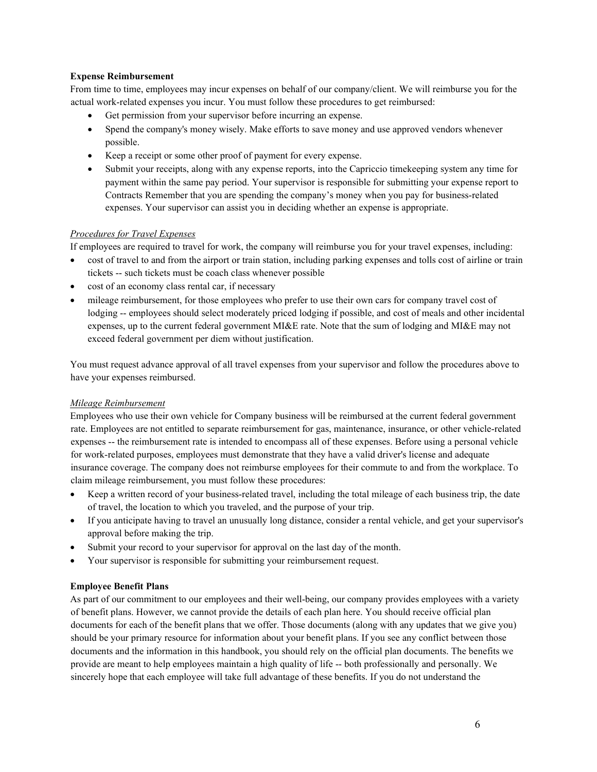# **Expense Reimbursement**

From time to time, employees may incur expenses on behalf of our company/client. We will reimburse you for the actual work-related expenses you incur. You must follow these procedures to get reimbursed:

- Get permission from your supervisor before incurring an expense.
- Spend the company's money wisely. Make efforts to save money and use approved vendors whenever possible.
- Keep a receipt or some other proof of payment for every expense.
- Submit your receipts, along with any expense reports, into the Capriccio timekeeping system any time for payment within the same pay period. Your supervisor is responsible for submitting your expense report to Contracts Remember that you are spending the company's money when you pay for business-related expenses. Your supervisor can assist you in deciding whether an expense is appropriate.

# *Procedures for Travel Expenses*

If employees are required to travel for work, the company will reimburse you for your travel expenses, including:

- cost of travel to and from the airport or train station, including parking expenses and tolls cost of airline or train tickets -- such tickets must be coach class whenever possible
- cost of an economy class rental car, if necessary
- mileage reimbursement, for those employees who prefer to use their own cars for company travel cost of lodging -- employees should select moderately priced lodging if possible, and cost of meals and other incidental expenses, up to the current federal government MI&E rate. Note that the sum of lodging and MI&E may not exceed federal government per diem without justification.

You must request advance approval of all travel expenses from your supervisor and follow the procedures above to have your expenses reimbursed.

# *Mileage Reimbursement*

Employees who use their own vehicle for Company business will be reimbursed at the current federal government rate. Employees are not entitled to separate reimbursement for gas, maintenance, insurance, or other vehicle-related expenses -- the reimbursement rate is intended to encompass all of these expenses. Before using a personal vehicle for work-related purposes, employees must demonstrate that they have a valid driver's license and adequate insurance coverage. The company does not reimburse employees for their commute to and from the workplace. To claim mileage reimbursement, you must follow these procedures:

- Keep a written record of your business-related travel, including the total mileage of each business trip, the date of travel, the location to which you traveled, and the purpose of your trip.
- If you anticipate having to travel an unusually long distance, consider a rental vehicle, and get your supervisor's approval before making the trip.
- Submit your record to your supervisor for approval on the last day of the month.
- Your supervisor is responsible for submitting your reimbursement request.

# **Employee Benefit Plans**

As part of our commitment to our employees and their well-being, our company provides employees with a variety of benefit plans. However, we cannot provide the details of each plan here. You should receive official plan documents for each of the benefit plans that we offer. Those documents (along with any updates that we give you) should be your primary resource for information about your benefit plans. If you see any conflict between those documents and the information in this handbook, you should rely on the official plan documents. The benefits we provide are meant to help employees maintain a high quality of life -- both professionally and personally. We sincerely hope that each employee will take full advantage of these benefits. If you do not understand the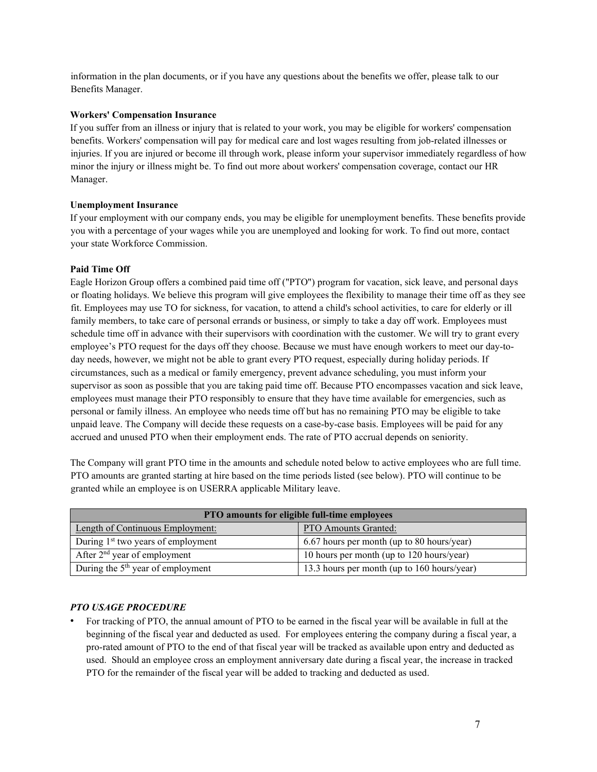information in the plan documents, or if you have any questions about the benefits we offer, please talk to our Benefits Manager.

#### **Workers' Compensation Insurance**

If you suffer from an illness or injury that is related to your work, you may be eligible for workers' compensation benefits. Workers' compensation will pay for medical care and lost wages resulting from job-related illnesses or injuries. If you are injured or become ill through work, please inform your supervisor immediately regardless of how minor the injury or illness might be. To find out more about workers' compensation coverage, contact our HR Manager.

#### **Unemployment Insurance**

If your employment with our company ends, you may be eligible for unemployment benefits. These benefits provide you with a percentage of your wages while you are unemployed and looking for work. To find out more, contact your state Workforce Commission.

# **Paid Time Off**

Eagle Horizon Group offers a combined paid time off ("PTO") program for vacation, sick leave, and personal days or floating holidays. We believe this program will give employees the flexibility to manage their time off as they see fit. Employees may use TO for sickness, for vacation, to attend a child's school activities, to care for elderly or ill family members, to take care of personal errands or business, or simply to take a day off work. Employees must schedule time off in advance with their supervisors with coordination with the customer. We will try to grant every employee's PTO request for the days off they choose. Because we must have enough workers to meet our day-today needs, however, we might not be able to grant every PTO request, especially during holiday periods. If circumstances, such as a medical or family emergency, prevent advance scheduling, you must inform your supervisor as soon as possible that you are taking paid time off. Because PTO encompasses vacation and sick leave, employees must manage their PTO responsibly to ensure that they have time available for emergencies, such as personal or family illness. An employee who needs time off but has no remaining PTO may be eligible to take unpaid leave. The Company will decide these requests on a case-by-case basis. Employees will be paid for any accrued and unused PTO when their employment ends. The rate of PTO accrual depends on seniority.

The Company will grant PTO time in the amounts and schedule noted below to active employees who are full time. PTO amounts are granted starting at hire based on the time periods listed (see below). PTO will continue to be granted while an employee is on USERRA applicable Military leave.

| <b>PTO</b> amounts for eligible full-time employees |                                             |
|-----------------------------------------------------|---------------------------------------------|
| Length of Continuous Employment:                    | <b>PTO Amounts Granted:</b>                 |
| During 1 <sup>st</sup> two years of employment      | 6.67 hours per month (up to 80 hours/year)  |
| After $2nd$ year of employment                      | 10 hours per month (up to 120 hours/year)   |
| During the $5th$ year of employment                 | 13.3 hours per month (up to 160 hours/year) |

# *PTO USAGE PROCEDURE*

• For tracking of PTO, the annual amount of PTO to be earned in the fiscal year will be available in full at the beginning of the fiscal year and deducted as used. For employees entering the company during a fiscal year, a pro-rated amount of PTO to the end of that fiscal year will be tracked as available upon entry and deducted as used. Should an employee cross an employment anniversary date during a fiscal year, the increase in tracked PTO for the remainder of the fiscal year will be added to tracking and deducted as used.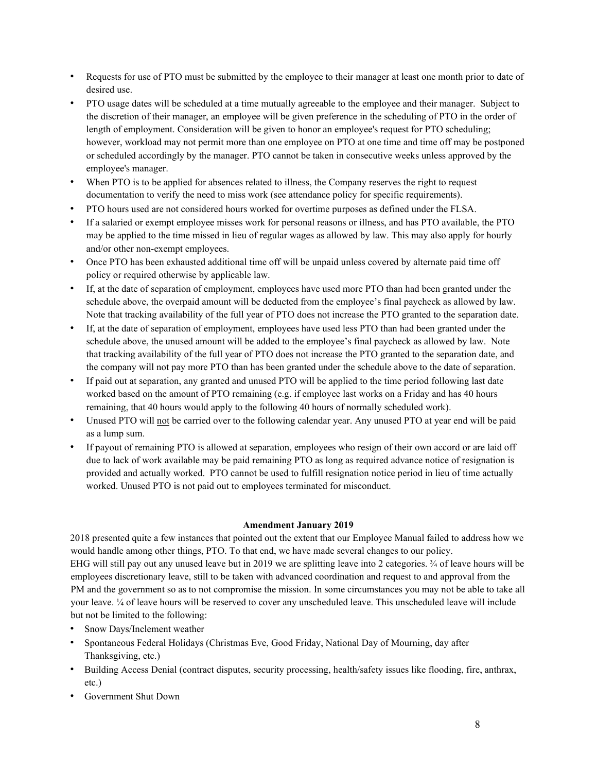- Requests for use of PTO must be submitted by the employee to their manager at least one month prior to date of desired use.
- PTO usage dates will be scheduled at a time mutually agreeable to the employee and their manager. Subject to the discretion of their manager, an employee will be given preference in the scheduling of PTO in the order of length of employment. Consideration will be given to honor an employee's request for PTO scheduling; however, workload may not permit more than one employee on PTO at one time and time off may be postponed or scheduled accordingly by the manager. PTO cannot be taken in consecutive weeks unless approved by the employee's manager.
- When PTO is to be applied for absences related to illness, the Company reserves the right to request documentation to verify the need to miss work (see attendance policy for specific requirements).
- PTO hours used are not considered hours worked for overtime purposes as defined under the FLSA.
- If a salaried or exempt employee misses work for personal reasons or illness, and has PTO available, the PTO may be applied to the time missed in lieu of regular wages as allowed by law. This may also apply for hourly and/or other non-exempt employees.
- Once PTO has been exhausted additional time off will be unpaid unless covered by alternate paid time off policy or required otherwise by applicable law.
- If, at the date of separation of employment, employees have used more PTO than had been granted under the schedule above, the overpaid amount will be deducted from the employee's final paycheck as allowed by law. Note that tracking availability of the full year of PTO does not increase the PTO granted to the separation date.
- If, at the date of separation of employment, employees have used less PTO than had been granted under the schedule above, the unused amount will be added to the employee's final paycheck as allowed by law. Note that tracking availability of the full year of PTO does not increase the PTO granted to the separation date, and the company will not pay more PTO than has been granted under the schedule above to the date of separation.
- If paid out at separation, any granted and unused PTO will be applied to the time period following last date worked based on the amount of PTO remaining (e.g. if employee last works on a Friday and has 40 hours remaining, that 40 hours would apply to the following 40 hours of normally scheduled work).
- Unused PTO will not be carried over to the following calendar year. Any unused PTO at year end will be paid as a lump sum.
- If payout of remaining PTO is allowed at separation, employees who resign of their own accord or are laid off due to lack of work available may be paid remaining PTO as long as required advance notice of resignation is provided and actually worked. PTO cannot be used to fulfill resignation notice period in lieu of time actually worked. Unused PTO is not paid out to employees terminated for misconduct.

# **Amendment January 2019**

2018 presented quite a few instances that pointed out the extent that our Employee Manual failed to address how we would handle among other things, PTO. To that end, we have made several changes to our policy. EHG will still pay out any unused leave but in 2019 we are splitting leave into 2 categories. ¾ of leave hours will be employees discretionary leave, still to be taken with advanced coordination and request to and approval from the PM and the government so as to not compromise the mission. In some circumstances you may not be able to take all your leave. ¼ of leave hours will be reserved to cover any unscheduled leave. This unscheduled leave will include but not be limited to the following:

- Snow Days/Inclement weather
- Spontaneous Federal Holidays (Christmas Eve, Good Friday, National Day of Mourning, day after Thanksgiving, etc.)
- Building Access Denial (contract disputes, security processing, health/safety issues like flooding, fire, anthrax, etc.)
- Government Shut Down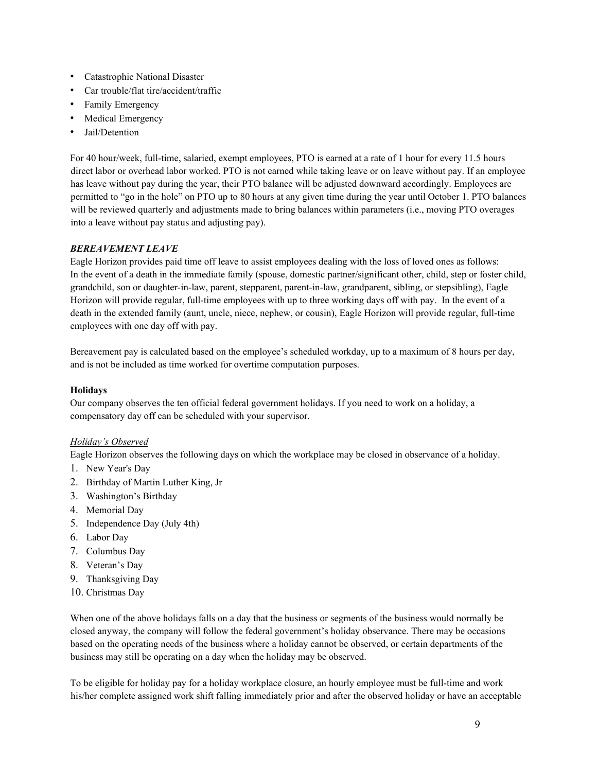- Catastrophic National Disaster
- Car trouble/flat tire/accident/traffic
- Family Emergency
- Medical Emergency
- Jail/Detention

For 40 hour/week, full-time, salaried, exempt employees, PTO is earned at a rate of 1 hour for every 11.5 hours direct labor or overhead labor worked. PTO is not earned while taking leave or on leave without pay. If an employee has leave without pay during the year, their PTO balance will be adjusted downward accordingly. Employees are permitted to "go in the hole" on PTO up to 80 hours at any given time during the year until October 1. PTO balances will be reviewed quarterly and adjustments made to bring balances within parameters (i.e., moving PTO overages into a leave without pay status and adjusting pay).

# *BEREAVEMENT LEAVE*

Eagle Horizon provides paid time off leave to assist employees dealing with the loss of loved ones as follows: In the event of a death in the immediate family (spouse, domestic partner/significant other, child, step or foster child, grandchild, son or daughter-in-law, parent, stepparent, parent-in-law, grandparent, sibling, or stepsibling), Eagle Horizon will provide regular, full-time employees with up to three working days off with pay. In the event of a death in the extended family (aunt, uncle, niece, nephew, or cousin), Eagle Horizon will provide regular, full-time employees with one day off with pay.

Bereavement pay is calculated based on the employee's scheduled workday, up to a maximum of 8 hours per day, and is not be included as time worked for overtime computation purposes.

# **Holidays**

Our company observes the ten official federal government holidays. If you need to work on a holiday, a compensatory day off can be scheduled with your supervisor.

# *Holiday's Observed*

Eagle Horizon observes the following days on which the workplace may be closed in observance of a holiday.

- 1. New Year's Day
- 2. Birthday of Martin Luther King, Jr
- 3. Washington's Birthday
- 4. Memorial Day
- 5. Independence Day (July 4th)
- 6. Labor Day
- 7. Columbus Day
- 8. Veteran's Day
- 9. Thanksgiving Day
- 10. Christmas Day

When one of the above holidays falls on a day that the business or segments of the business would normally be closed anyway, the company will follow the federal government's holiday observance. There may be occasions based on the operating needs of the business where a holiday cannot be observed, or certain departments of the business may still be operating on a day when the holiday may be observed.

To be eligible for holiday pay for a holiday workplace closure, an hourly employee must be full-time and work his/her complete assigned work shift falling immediately prior and after the observed holiday or have an acceptable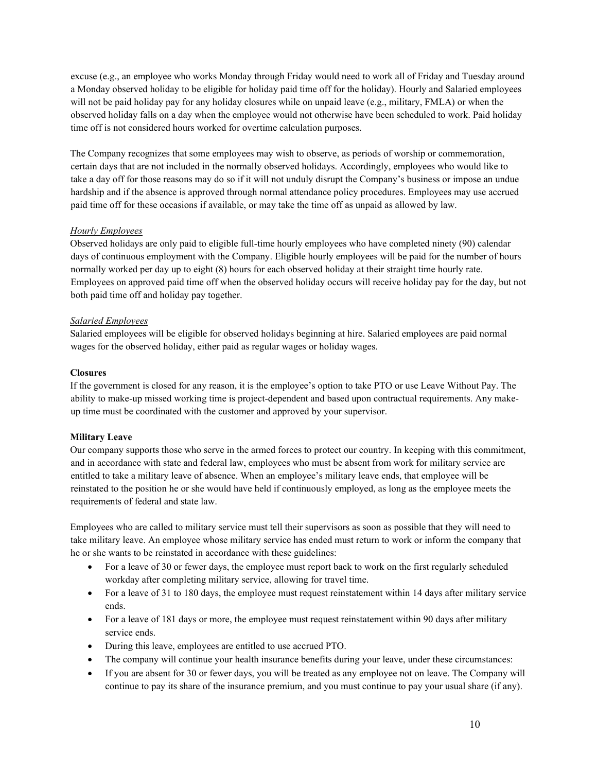excuse (e.g., an employee who works Monday through Friday would need to work all of Friday and Tuesday around a Monday observed holiday to be eligible for holiday paid time off for the holiday). Hourly and Salaried employees will not be paid holiday pay for any holiday closures while on unpaid leave (e.g., military, FMLA) or when the observed holiday falls on a day when the employee would not otherwise have been scheduled to work. Paid holiday time off is not considered hours worked for overtime calculation purposes.

The Company recognizes that some employees may wish to observe, as periods of worship or commemoration, certain days that are not included in the normally observed holidays. Accordingly, employees who would like to take a day off for those reasons may do so if it will not unduly disrupt the Company's business or impose an undue hardship and if the absence is approved through normal attendance policy procedures. Employees may use accrued paid time off for these occasions if available, or may take the time off as unpaid as allowed by law.

# *Hourly Employees*

Observed holidays are only paid to eligible full-time hourly employees who have completed ninety (90) calendar days of continuous employment with the Company. Eligible hourly employees will be paid for the number of hours normally worked per day up to eight (8) hours for each observed holiday at their straight time hourly rate. Employees on approved paid time off when the observed holiday occurs will receive holiday pay for the day, but not both paid time off and holiday pay together.

# *Salaried Employees*

Salaried employees will be eligible for observed holidays beginning at hire. Salaried employees are paid normal wages for the observed holiday, either paid as regular wages or holiday wages.

# **Closures**

If the government is closed for any reason, it is the employee's option to take PTO or use Leave Without Pay. The ability to make-up missed working time is project-dependent and based upon contractual requirements. Any makeup time must be coordinated with the customer and approved by your supervisor.

# **Military Leave**

Our company supports those who serve in the armed forces to protect our country. In keeping with this commitment, and in accordance with state and federal law, employees who must be absent from work for military service are entitled to take a military leave of absence. When an employee's military leave ends, that employee will be reinstated to the position he or she would have held if continuously employed, as long as the employee meets the requirements of federal and state law.

Employees who are called to military service must tell their supervisors as soon as possible that they will need to take military leave. An employee whose military service has ended must return to work or inform the company that he or she wants to be reinstated in accordance with these guidelines:

- For a leave of 30 or fewer days, the employee must report back to work on the first regularly scheduled workday after completing military service, allowing for travel time.
- For a leave of 31 to 180 days, the employee must request reinstatement within 14 days after military service ends.
- For a leave of 181 days or more, the employee must request reinstatement within 90 days after military service ends.
- During this leave, employees are entitled to use accrued PTO.
- The company will continue your health insurance benefits during your leave, under these circumstances:
- If you are absent for 30 or fewer days, you will be treated as any employee not on leave. The Company will continue to pay its share of the insurance premium, and you must continue to pay your usual share (if any).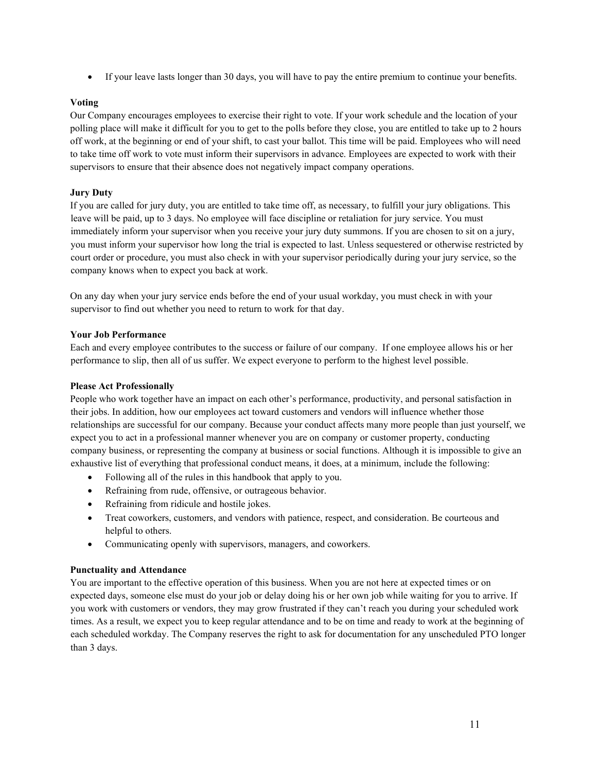• If your leave lasts longer than 30 days, you will have to pay the entire premium to continue your benefits.

# **Voting**

Our Company encourages employees to exercise their right to vote. If your work schedule and the location of your polling place will make it difficult for you to get to the polls before they close, you are entitled to take up to 2 hours off work, at the beginning or end of your shift, to cast your ballot. This time will be paid. Employees who will need to take time off work to vote must inform their supervisors in advance. Employees are expected to work with their supervisors to ensure that their absence does not negatively impact company operations.

# **Jury Duty**

If you are called for jury duty, you are entitled to take time off, as necessary, to fulfill your jury obligations. This leave will be paid, up to 3 days. No employee will face discipline or retaliation for jury service. You must immediately inform your supervisor when you receive your jury duty summons. If you are chosen to sit on a jury, you must inform your supervisor how long the trial is expected to last. Unless sequestered or otherwise restricted by court order or procedure, you must also check in with your supervisor periodically during your jury service, so the company knows when to expect you back at work.

On any day when your jury service ends before the end of your usual workday, you must check in with your supervisor to find out whether you need to return to work for that day.

# **Your Job Performance**

Each and every employee contributes to the success or failure of our company. If one employee allows his or her performance to slip, then all of us suffer. We expect everyone to perform to the highest level possible.

# **Please Act Professionally**

People who work together have an impact on each other's performance, productivity, and personal satisfaction in their jobs. In addition, how our employees act toward customers and vendors will influence whether those relationships are successful for our company. Because your conduct affects many more people than just yourself, we expect you to act in a professional manner whenever you are on company or customer property, conducting company business, or representing the company at business or social functions. Although it is impossible to give an exhaustive list of everything that professional conduct means, it does, at a minimum, include the following:

- Following all of the rules in this handbook that apply to you.
- Refraining from rude, offensive, or outrageous behavior.
- Refraining from ridicule and hostile jokes.
- Treat coworkers, customers, and vendors with patience, respect, and consideration. Be courteous and helpful to others.
- Communicating openly with supervisors, managers, and coworkers.

# **Punctuality and Attendance**

You are important to the effective operation of this business. When you are not here at expected times or on expected days, someone else must do your job or delay doing his or her own job while waiting for you to arrive. If you work with customers or vendors, they may grow frustrated if they can't reach you during your scheduled work times. As a result, we expect you to keep regular attendance and to be on time and ready to work at the beginning of each scheduled workday. The Company reserves the right to ask for documentation for any unscheduled PTO longer than 3 days.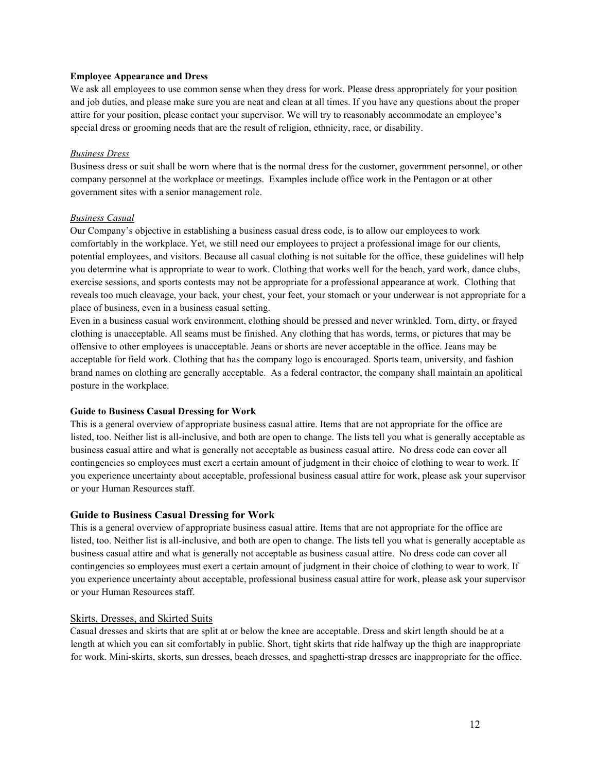#### **Employee Appearance and Dress**

We ask all employees to use common sense when they dress for work. Please dress appropriately for your position and job duties, and please make sure you are neat and clean at all times. If you have any questions about the proper attire for your position, please contact your supervisor. We will try to reasonably accommodate an employee's special dress or grooming needs that are the result of religion, ethnicity, race, or disability.

#### *Business Dress*

Business dress or suit shall be worn where that is the normal dress for the customer, government personnel, or other company personnel at the workplace or meetings. Examples include office work in the Pentagon or at other government sites with a senior management role.

#### *Business Casual*

Our Company's objective in establishing a business casual dress code, is to allow our employees to work comfortably in the workplace. Yet, we still need our employees to project a professional image for our clients, potential employees, and visitors. Because all casual clothing is not suitable for the office, these guidelines will help you determine what is appropriate to wear to work. Clothing that works well for the beach, yard work, dance clubs, exercise sessions, and sports contests may not be appropriate for a professional appearance at work. Clothing that reveals too much cleavage, your back, your chest, your feet, your stomach or your underwear is not appropriate for a place of business, even in a business casual setting.

Even in a business casual work environment, clothing should be pressed and never wrinkled. Torn, dirty, or frayed clothing is unacceptable. All seams must be finished. Any clothing that has words, terms, or pictures that may be offensive to other employees is unacceptable. Jeans or shorts are never acceptable in the office. Jeans may be acceptable for field work. Clothing that has the company logo is encouraged. Sports team, university, and fashion brand names on clothing are generally acceptable. As a federal contractor, the company shall maintain an apolitical posture in the workplace.

#### **Guide to Business Casual Dressing for Work**

This is a general overview of appropriate business casual attire. Items that are not appropriate for the office are listed, too. Neither list is all-inclusive, and both are open to change. The lists tell you what is generally acceptable as business casual attire and what is generally not acceptable as business casual attire. No dress code can cover all contingencies so employees must exert a certain amount of judgment in their choice of clothing to wear to work. If you experience uncertainty about acceptable, professional business casual attire for work, please ask your supervisor or your Human Resources staff.

# **Guide to Business Casual Dressing for Work**

This is a general overview of appropriate business casual attire. Items that are not appropriate for the office are listed, too. Neither list is all-inclusive, and both are open to change. The lists tell you what is generally acceptable as business casual attire and what is generally not acceptable as business casual attire. No dress code can cover all contingencies so employees must exert a certain amount of judgment in their choice of clothing to wear to work. If you experience uncertainty about acceptable, professional business casual attire for work, please ask your supervisor or your Human Resources staff.

#### Skirts, Dresses, and Skirted Suits

Casual dresses and skirts that are split at or below the knee are acceptable. Dress and skirt length should be at a length at which you can sit comfortably in public. Short, tight skirts that ride halfway up the thigh are inappropriate for work. Mini-skirts, skorts, sun dresses, beach dresses, and spaghetti-strap dresses are inappropriate for the office.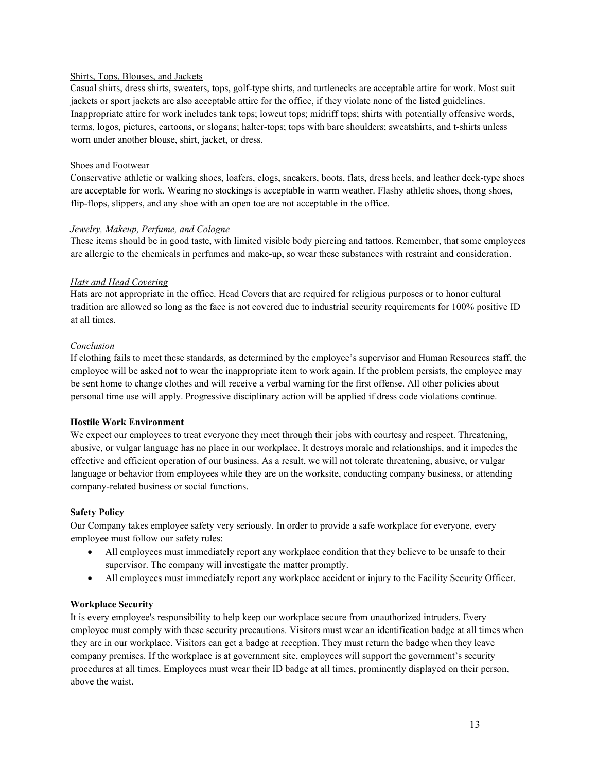# Shirts, Tops, Blouses, and Jackets

Casual shirts, dress shirts, sweaters, tops, golf-type shirts, and turtlenecks are acceptable attire for work. Most suit jackets or sport jackets are also acceptable attire for the office, if they violate none of the listed guidelines. Inappropriate attire for work includes tank tops; lowcut tops; midriff tops; shirts with potentially offensive words, terms, logos, pictures, cartoons, or slogans; halter-tops; tops with bare shoulders; sweatshirts, and t-shirts unless worn under another blouse, shirt, jacket, or dress.

#### Shoes and Footwear

Conservative athletic or walking shoes, loafers, clogs, sneakers, boots, flats, dress heels, and leather deck-type shoes are acceptable for work. Wearing no stockings is acceptable in warm weather. Flashy athletic shoes, thong shoes, flip-flops, slippers, and any shoe with an open toe are not acceptable in the office.

#### *Jewelry, Makeup, Perfume, and Cologne*

These items should be in good taste, with limited visible body piercing and tattoos. Remember, that some employees are allergic to the chemicals in perfumes and make-up, so wear these substances with restraint and consideration.

#### *Hats and Head Covering*

Hats are not appropriate in the office. Head Covers that are required for religious purposes or to honor cultural tradition are allowed so long as the face is not covered due to industrial security requirements for 100% positive ID at all times.

#### *Conclusion*

If clothing fails to meet these standards, as determined by the employee's supervisor and Human Resources staff, the employee will be asked not to wear the inappropriate item to work again. If the problem persists, the employee may be sent home to change clothes and will receive a verbal warning for the first offense. All other policies about personal time use will apply. Progressive disciplinary action will be applied if dress code violations continue.

# **Hostile Work Environment**

We expect our employees to treat everyone they meet through their jobs with courtesy and respect. Threatening, abusive, or vulgar language has no place in our workplace. It destroys morale and relationships, and it impedes the effective and efficient operation of our business. As a result, we will not tolerate threatening, abusive, or vulgar language or behavior from employees while they are on the worksite, conducting company business, or attending company-related business or social functions.

# **Safety Policy**

Our Company takes employee safety very seriously. In order to provide a safe workplace for everyone, every employee must follow our safety rules:

- All employees must immediately report any workplace condition that they believe to be unsafe to their supervisor. The company will investigate the matter promptly.
- All employees must immediately report any workplace accident or injury to the Facility Security Officer.

# **Workplace Security**

It is every employee's responsibility to help keep our workplace secure from unauthorized intruders. Every employee must comply with these security precautions. Visitors must wear an identification badge at all times when they are in our workplace. Visitors can get a badge at reception. They must return the badge when they leave company premises. If the workplace is at government site, employees will support the government's security procedures at all times. Employees must wear their ID badge at all times, prominently displayed on their person, above the waist.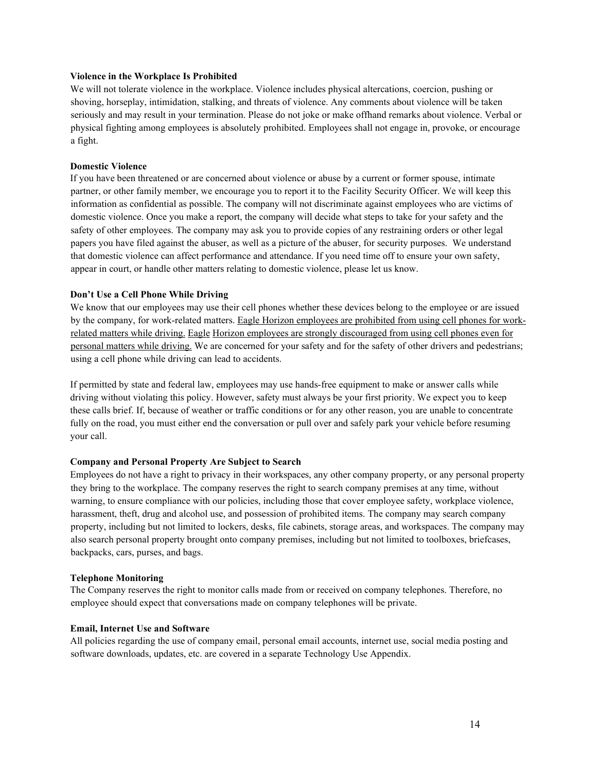#### **Violence in the Workplace Is Prohibited**

We will not tolerate violence in the workplace. Violence includes physical altercations, coercion, pushing or shoving, horseplay, intimidation, stalking, and threats of violence. Any comments about violence will be taken seriously and may result in your termination. Please do not joke or make offhand remarks about violence. Verbal or physical fighting among employees is absolutely prohibited. Employees shall not engage in, provoke, or encourage a fight.

#### **Domestic Violence**

If you have been threatened or are concerned about violence or abuse by a current or former spouse, intimate partner, or other family member, we encourage you to report it to the Facility Security Officer. We will keep this information as confidential as possible. The company will not discriminate against employees who are victims of domestic violence. Once you make a report, the company will decide what steps to take for your safety and the safety of other employees. The company may ask you to provide copies of any restraining orders or other legal papers you have filed against the abuser, as well as a picture of the abuser, for security purposes. We understand that domestic violence can affect performance and attendance. If you need time off to ensure your own safety, appear in court, or handle other matters relating to domestic violence, please let us know.

#### **Don't Use a Cell Phone While Driving**

We know that our employees may use their cell phones whether these devices belong to the employee or are issued by the company, for work-related matters. Eagle Horizon employees are prohibited from using cell phones for workrelated matters while driving. Eagle Horizon employees are strongly discouraged from using cell phones even for personal matters while driving. We are concerned for your safety and for the safety of other drivers and pedestrians; using a cell phone while driving can lead to accidents.

If permitted by state and federal law, employees may use hands-free equipment to make or answer calls while driving without violating this policy. However, safety must always be your first priority. We expect you to keep these calls brief. If, because of weather or traffic conditions or for any other reason, you are unable to concentrate fully on the road, you must either end the conversation or pull over and safely park your vehicle before resuming your call.

# **Company and Personal Property Are Subject to Search**

Employees do not have a right to privacy in their workspaces, any other company property, or any personal property they bring to the workplace. The company reserves the right to search company premises at any time, without warning, to ensure compliance with our policies, including those that cover employee safety, workplace violence, harassment, theft, drug and alcohol use, and possession of prohibited items. The company may search company property, including but not limited to lockers, desks, file cabinets, storage areas, and workspaces. The company may also search personal property brought onto company premises, including but not limited to toolboxes, briefcases, backpacks, cars, purses, and bags.

#### **Telephone Monitoring**

The Company reserves the right to monitor calls made from or received on company telephones. Therefore, no employee should expect that conversations made on company telephones will be private.

#### **Email, Internet Use and Software**

All policies regarding the use of company email, personal email accounts, internet use, social media posting and software downloads, updates, etc. are covered in a separate Technology Use Appendix.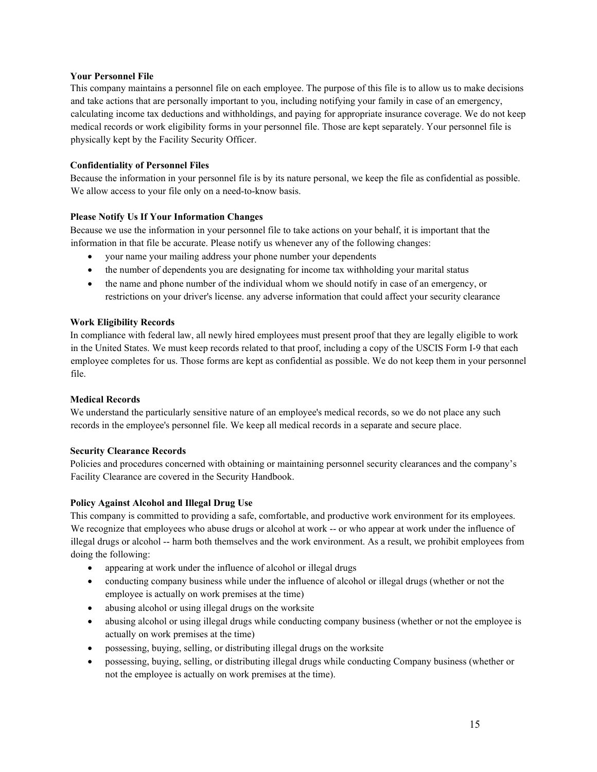# **Your Personnel File**

This company maintains a personnel file on each employee. The purpose of this file is to allow us to make decisions and take actions that are personally important to you, including notifying your family in case of an emergency, calculating income tax deductions and withholdings, and paying for appropriate insurance coverage. We do not keep medical records or work eligibility forms in your personnel file. Those are kept separately. Your personnel file is physically kept by the Facility Security Officer.

#### **Confidentiality of Personnel Files**

Because the information in your personnel file is by its nature personal, we keep the file as confidential as possible. We allow access to your file only on a need-to-know basis.

#### **Please Notify Us If Your Information Changes**

Because we use the information in your personnel file to take actions on your behalf, it is important that the information in that file be accurate. Please notify us whenever any of the following changes:

- your name your mailing address your phone number your dependents
- the number of dependents you are designating for income tax withholding your marital status
- the name and phone number of the individual whom we should notify in case of an emergency, or restrictions on your driver's license. any adverse information that could affect your security clearance

#### **Work Eligibility Records**

In compliance with federal law, all newly hired employees must present proof that they are legally eligible to work in the United States. We must keep records related to that proof, including a copy of the USCIS Form I-9 that each employee completes for us. Those forms are kept as confidential as possible. We do not keep them in your personnel file.

# **Medical Records**

We understand the particularly sensitive nature of an employee's medical records, so we do not place any such records in the employee's personnel file. We keep all medical records in a separate and secure place.

#### **Security Clearance Records**

Policies and procedures concerned with obtaining or maintaining personnel security clearances and the company's Facility Clearance are covered in the Security Handbook.

#### **Policy Against Alcohol and Illegal Drug Use**

This company is committed to providing a safe, comfortable, and productive work environment for its employees. We recognize that employees who abuse drugs or alcohol at work -- or who appear at work under the influence of illegal drugs or alcohol -- harm both themselves and the work environment. As a result, we prohibit employees from doing the following:

- appearing at work under the influence of alcohol or illegal drugs
- conducting company business while under the influence of alcohol or illegal drugs (whether or not the employee is actually on work premises at the time)
- abusing alcohol or using illegal drugs on the worksite
- abusing alcohol or using illegal drugs while conducting company business (whether or not the employee is actually on work premises at the time)
- possessing, buying, selling, or distributing illegal drugs on the worksite
- possessing, buying, selling, or distributing illegal drugs while conducting Company business (whether or not the employee is actually on work premises at the time).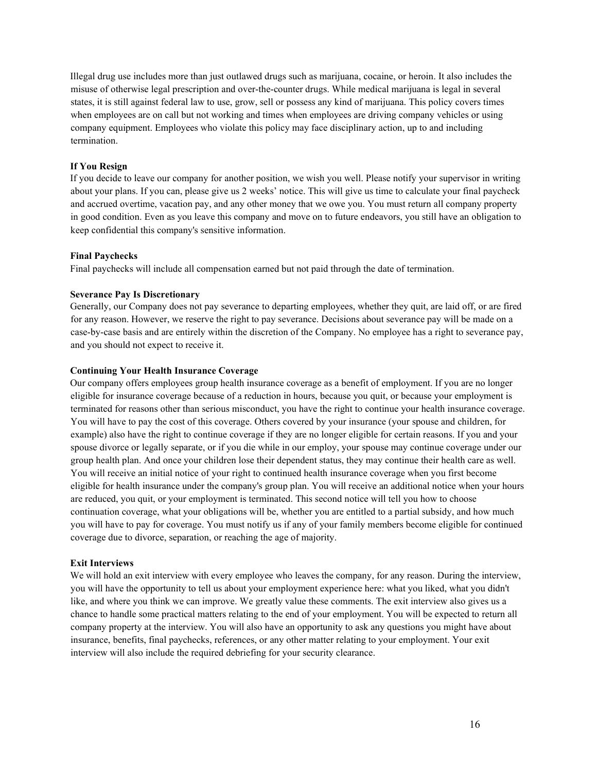Illegal drug use includes more than just outlawed drugs such as marijuana, cocaine, or heroin. It also includes the misuse of otherwise legal prescription and over-the-counter drugs. While medical marijuana is legal in several states, it is still against federal law to use, grow, sell or possess any kind of marijuana. This policy covers times when employees are on call but not working and times when employees are driving company vehicles or using company equipment. Employees who violate this policy may face disciplinary action, up to and including termination.

# **If You Resign**

If you decide to leave our company for another position, we wish you well. Please notify your supervisor in writing about your plans. If you can, please give us 2 weeks' notice. This will give us time to calculate your final paycheck and accrued overtime, vacation pay, and any other money that we owe you. You must return all company property in good condition. Even as you leave this company and move on to future endeavors, you still have an obligation to keep confidential this company's sensitive information.

# **Final Paychecks**

Final paychecks will include all compensation earned but not paid through the date of termination.

# **Severance Pay Is Discretionary**

Generally, our Company does not pay severance to departing employees, whether they quit, are laid off, or are fired for any reason. However, we reserve the right to pay severance. Decisions about severance pay will be made on a case-by-case basis and are entirely within the discretion of the Company. No employee has a right to severance pay, and you should not expect to receive it.

# **Continuing Your Health Insurance Coverage**

Our company offers employees group health insurance coverage as a benefit of employment. If you are no longer eligible for insurance coverage because of a reduction in hours, because you quit, or because your employment is terminated for reasons other than serious misconduct, you have the right to continue your health insurance coverage. You will have to pay the cost of this coverage. Others covered by your insurance (your spouse and children, for example) also have the right to continue coverage if they are no longer eligible for certain reasons. If you and your spouse divorce or legally separate, or if you die while in our employ, your spouse may continue coverage under our group health plan. And once your children lose their dependent status, they may continue their health care as well. You will receive an initial notice of your right to continued health insurance coverage when you first become eligible for health insurance under the company's group plan. You will receive an additional notice when your hours are reduced, you quit, or your employment is terminated. This second notice will tell you how to choose continuation coverage, what your obligations will be, whether you are entitled to a partial subsidy, and how much you will have to pay for coverage. You must notify us if any of your family members become eligible for continued coverage due to divorce, separation, or reaching the age of majority.

# **Exit Interviews**

We will hold an exit interview with every employee who leaves the company, for any reason. During the interview, you will have the opportunity to tell us about your employment experience here: what you liked, what you didn't like, and where you think we can improve. We greatly value these comments. The exit interview also gives us a chance to handle some practical matters relating to the end of your employment. You will be expected to return all company property at the interview. You will also have an opportunity to ask any questions you might have about insurance, benefits, final paychecks, references, or any other matter relating to your employment. Your exit interview will also include the required debriefing for your security clearance.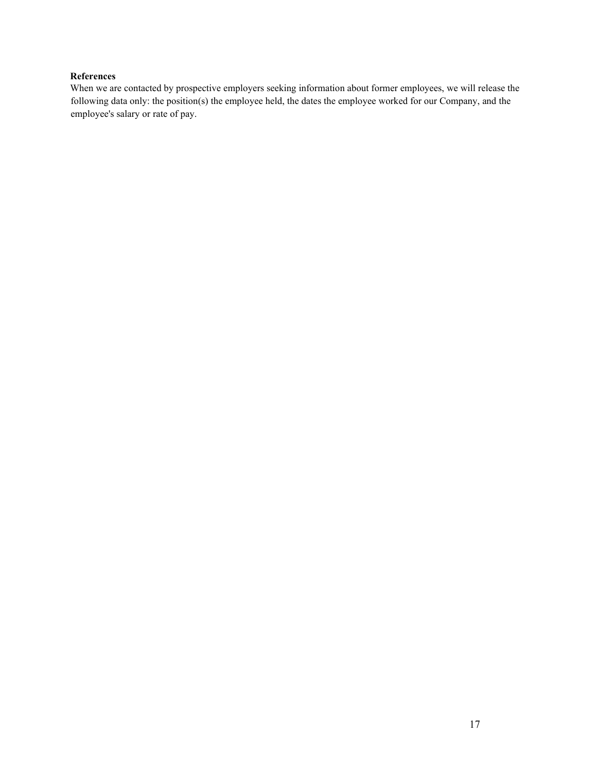# **References**

When we are contacted by prospective employers seeking information about former employees, we will release the following data only: the position(s) the employee held, the dates the employee worked for our Company, and the employee's salary or rate of pay.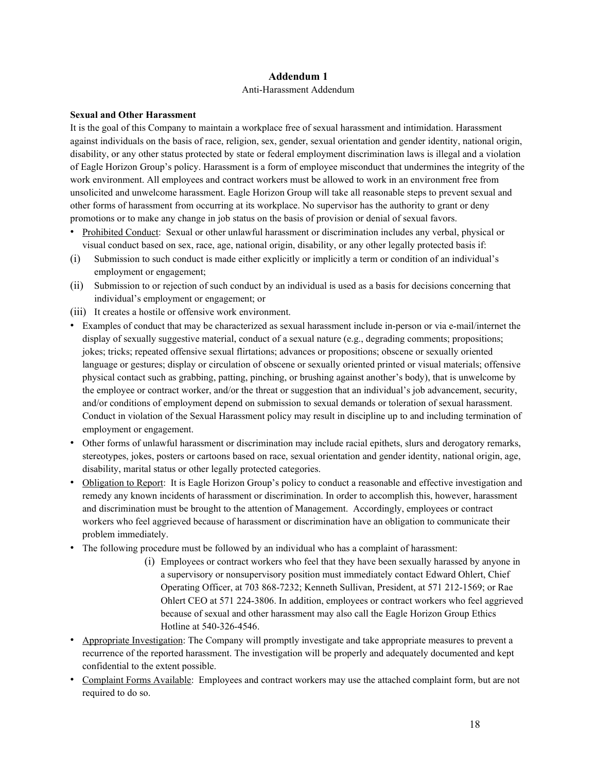# **Addendum 1**

# Anti-Harassment Addendum

#### **Sexual and Other Harassment**

It is the goal of this Company to maintain a workplace free of sexual harassment and intimidation. Harassment against individuals on the basis of race, religion, sex, gender, sexual orientation and gender identity, national origin, disability, or any other status protected by state or federal employment discrimination laws is illegal and a violation of Eagle Horizon Group's policy. Harassment is a form of employee misconduct that undermines the integrity of the work environment. All employees and contract workers must be allowed to work in an environment free from unsolicited and unwelcome harassment. Eagle Horizon Group will take all reasonable steps to prevent sexual and other forms of harassment from occurring at its workplace. No supervisor has the authority to grant or deny promotions or to make any change in job status on the basis of provision or denial of sexual favors.

- Prohibited Conduct: Sexual or other unlawful harassment or discrimination includes any verbal, physical or visual conduct based on sex, race, age, national origin, disability, or any other legally protected basis if:
- (i) Submission to such conduct is made either explicitly or implicitly a term or condition of an individual's employment or engagement;
- (ii) Submission to or rejection of such conduct by an individual is used as a basis for decisions concerning that individual's employment or engagement; or
- (iii) It creates a hostile or offensive work environment.
- Examples of conduct that may be characterized as sexual harassment include in-person or via e-mail/internet the display of sexually suggestive material, conduct of a sexual nature (e.g., degrading comments; propositions; jokes; tricks; repeated offensive sexual flirtations; advances or propositions; obscene or sexually oriented language or gestures; display or circulation of obscene or sexually oriented printed or visual materials; offensive physical contact such as grabbing, patting, pinching, or brushing against another's body), that is unwelcome by the employee or contract worker, and/or the threat or suggestion that an individual's job advancement, security, and/or conditions of employment depend on submission to sexual demands or toleration of sexual harassment. Conduct in violation of the Sexual Harassment policy may result in discipline up to and including termination of employment or engagement.
- Other forms of unlawful harassment or discrimination may include racial epithets, slurs and derogatory remarks, stereotypes, jokes, posters or cartoons based on race, sexual orientation and gender identity, national origin, age, disability, marital status or other legally protected categories.
- Obligation to Report: It is Eagle Horizon Group's policy to conduct a reasonable and effective investigation and remedy any known incidents of harassment or discrimination. In order to accomplish this, however, harassment and discrimination must be brought to the attention of Management. Accordingly, employees or contract workers who feel aggrieved because of harassment or discrimination have an obligation to communicate their problem immediately.
- The following procedure must be followed by an individual who has a complaint of harassment:
	- (i) Employees or contract workers who feel that they have been sexually harassed by anyone in a supervisory or nonsupervisory position must immediately contact Edward Ohlert, Chief Operating Officer, at 703 868-7232; Kenneth Sullivan, President, at 571 212-1569; or Rae Ohlert CEO at 571 224-3806. In addition, employees or contract workers who feel aggrieved because of sexual and other harassment may also call the Eagle Horizon Group Ethics Hotline at 540-326-4546.
- Appropriate Investigation: The Company will promptly investigate and take appropriate measures to prevent a recurrence of the reported harassment. The investigation will be properly and adequately documented and kept confidential to the extent possible.
- Complaint Forms Available: Employees and contract workers may use the attached complaint form, but are not required to do so.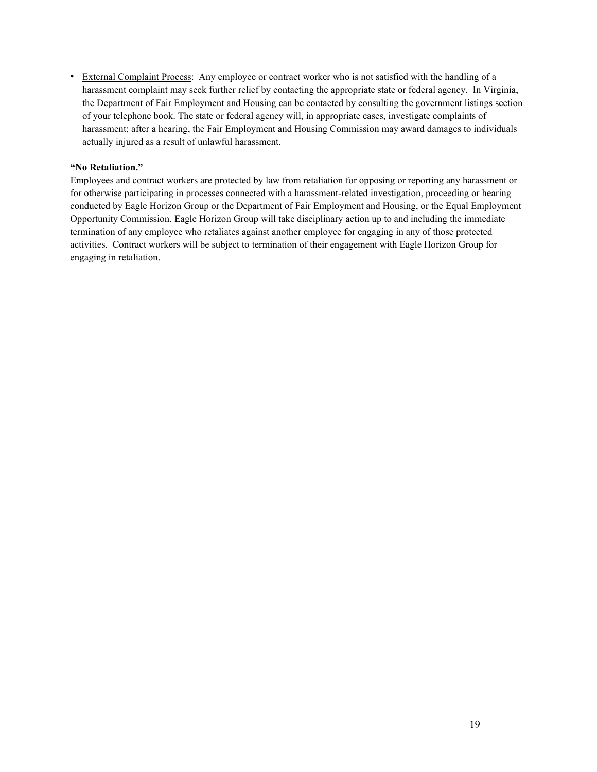• External Complaint Process: Any employee or contract worker who is not satisfied with the handling of a harassment complaint may seek further relief by contacting the appropriate state or federal agency. In Virginia, the Department of Fair Employment and Housing can be contacted by consulting the government listings section of your telephone book. The state or federal agency will, in appropriate cases, investigate complaints of harassment; after a hearing, the Fair Employment and Housing Commission may award damages to individuals actually injured as a result of unlawful harassment.

# **"No Retaliation."**

Employees and contract workers are protected by law from retaliation for opposing or reporting any harassment or for otherwise participating in processes connected with a harassment-related investigation, proceeding or hearing conducted by Eagle Horizon Group or the Department of Fair Employment and Housing, or the Equal Employment Opportunity Commission. Eagle Horizon Group will take disciplinary action up to and including the immediate termination of any employee who retaliates against another employee for engaging in any of those protected activities. Contract workers will be subject to termination of their engagement with Eagle Horizon Group for engaging in retaliation.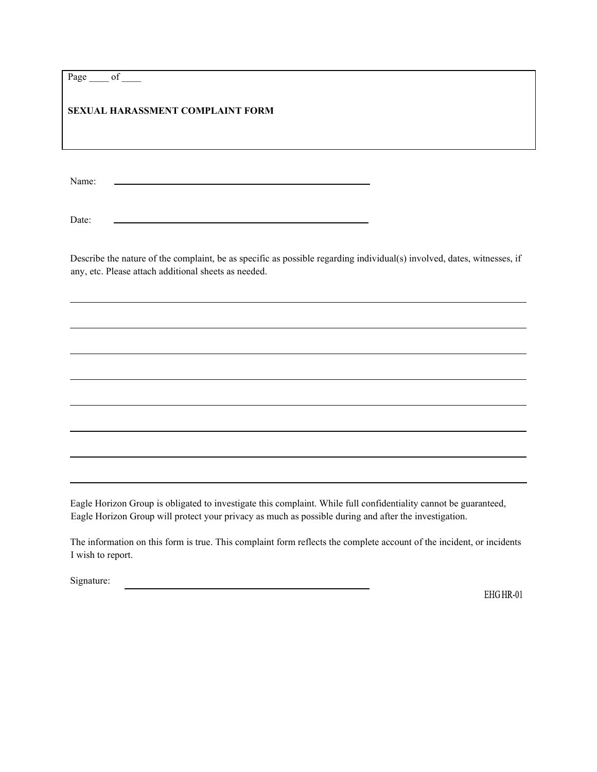$Page \_\ of \_\$ 

# **SEXUAL HARASSMENT COMPLAINT FORM**

Name:

Date:

Describe the nature of the complaint, be as specific as possible regarding individual(s) involved, dates, witnesses, if any, etc. Please attach additional sheets as needed.

Eagle Horizon Group is obligated to investigate this complaint. While full confidentiality cannot be guaranteed, Eagle Horizon Group will protect your privacy as much as possible during and after the investigation.

The information on this form is true. This complaint form reflects the complete account of the incident, or incidents I wish to report.

Signature:

EHG HR-01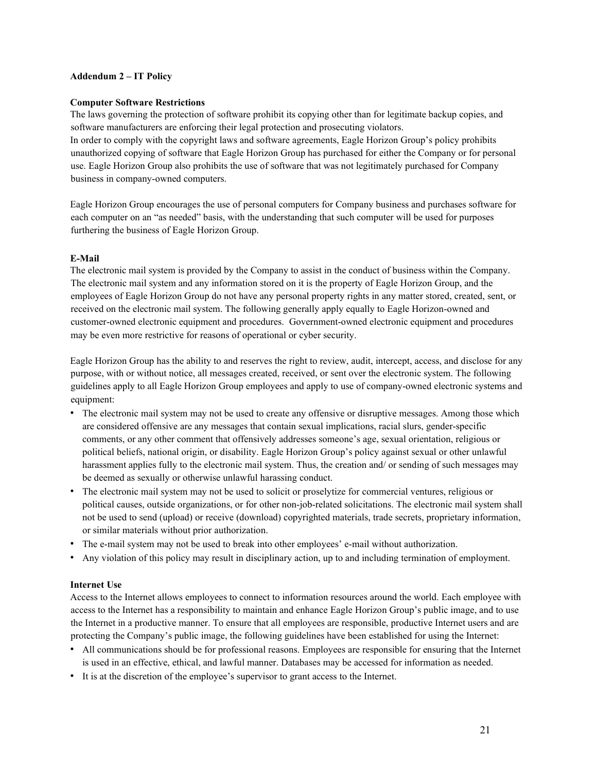#### **Addendum 2 – IT Policy**

#### **Computer Software Restrictions**

The laws governing the protection of software prohibit its copying other than for legitimate backup copies, and software manufacturers are enforcing their legal protection and prosecuting violators. In order to comply with the copyright laws and software agreements, Eagle Horizon Group's policy prohibits unauthorized copying of software that Eagle Horizon Group has purchased for either the Company or for personal use. Eagle Horizon Group also prohibits the use of software that was not legitimately purchased for Company

business in company-owned computers.

Eagle Horizon Group encourages the use of personal computers for Company business and purchases software for each computer on an "as needed" basis, with the understanding that such computer will be used for purposes furthering the business of Eagle Horizon Group.

#### **E-Mail**

The electronic mail system is provided by the Company to assist in the conduct of business within the Company. The electronic mail system and any information stored on it is the property of Eagle Horizon Group, and the employees of Eagle Horizon Group do not have any personal property rights in any matter stored, created, sent, or received on the electronic mail system. The following generally apply equally to Eagle Horizon-owned and customer-owned electronic equipment and procedures. Government-owned electronic equipment and procedures may be even more restrictive for reasons of operational or cyber security.

Eagle Horizon Group has the ability to and reserves the right to review, audit, intercept, access, and disclose for any purpose, with or without notice, all messages created, received, or sent over the electronic system. The following guidelines apply to all Eagle Horizon Group employees and apply to use of company-owned electronic systems and equipment:

- The electronic mail system may not be used to create any offensive or disruptive messages. Among those which are considered offensive are any messages that contain sexual implications, racial slurs, gender-specific comments, or any other comment that offensively addresses someone's age, sexual orientation, religious or political beliefs, national origin, or disability. Eagle Horizon Group's policy against sexual or other unlawful harassment applies fully to the electronic mail system. Thus, the creation and/ or sending of such messages may be deemed as sexually or otherwise unlawful harassing conduct.
- The electronic mail system may not be used to solicit or proselytize for commercial ventures, religious or political causes, outside organizations, or for other non-job-related solicitations. The electronic mail system shall not be used to send (upload) or receive (download) copyrighted materials, trade secrets, proprietary information, or similar materials without prior authorization.
- The e-mail system may not be used to break into other employees' e-mail without authorization.
- Any violation of this policy may result in disciplinary action, up to and including termination of employment.

# **Internet Use**

Access to the Internet allows employees to connect to information resources around the world. Each employee with access to the Internet has a responsibility to maintain and enhance Eagle Horizon Group's public image, and to use the Internet in a productive manner. To ensure that all employees are responsible, productive Internet users and are protecting the Company's public image, the following guidelines have been established for using the Internet:

- All communications should be for professional reasons. Employees are responsible for ensuring that the Internet is used in an effective, ethical, and lawful manner. Databases may be accessed for information as needed.
- It is at the discretion of the employee's supervisor to grant access to the Internet.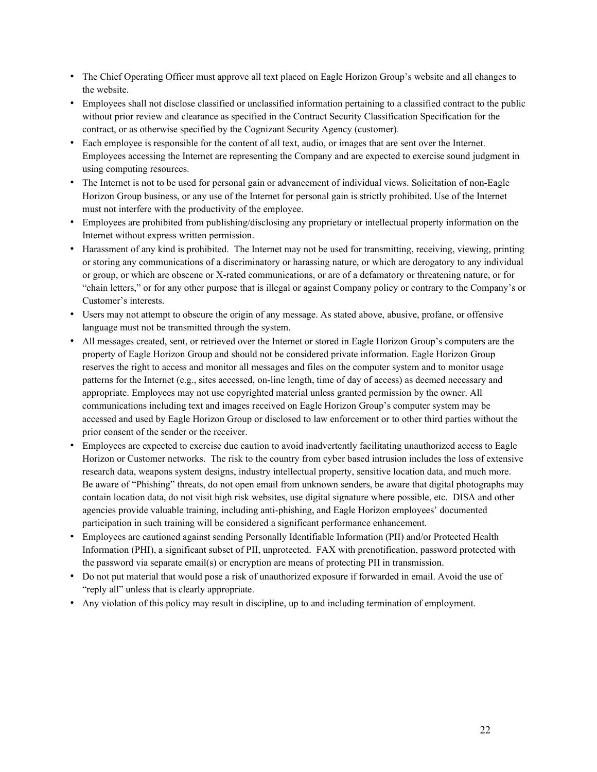- The Chief Operating Officer must approve all text placed on Eagle Horizon Group's website and all changes to the website.
- Employees shall not disclose classified or unclassified information pertaining to a classified contract to the public without prior review and clearance as specified in the Contract Security Classification Specification for the contract, or as otherwise specified by the Cognizant Security Agency (customer).
- Each employee is responsible for the content of all text, audio, or images that are sent over the Internet. Employees accessing the Internet are representing the Company and are expected to exercise sound judgment in using computing resources.
- The Internet is not to be used for personal gain or advancement of individual views. Solicitation of non-Eagle Horizon Group business, or any use of the Internet for personal gain is strictly prohibited. Use of the Internet must not interfere with the productivity of the employee.
- Employees are prohibited from publishing/disclosing any proprietary or intellectual property information on the Internet without express written permission.
- Harassment of any kind is prohibited. The Internet may not be used for transmitting, receiving, viewing, printing or storing any communications of a discriminatory or harassing nature, or which are derogatory to any individual or group, or which are obscene or X-rated communications, or are of a defamatory or threatening nature, or for "chain letters," or for any other purpose that is illegal or against Company policy or contrary to the Company's or Customer's interests.
- Users may not attempt to obscure the origin of any message. As stated above, abusive, profane, or offensive language must not be transmitted through the system.
- All messages created, sent, or retrieved over the Internet or stored in Eagle Horizon Group's computers are the property of Eagle Horizon Group and should not be considered private information. Eagle Horizon Group reserves the right to access and monitor all messages and files on the computer system and to monitor usage patterns for the Internet (e.g., sites accessed, on-line length, time of day of access) as deemed necessary and appropriate. Employees may not use copyrighted material unless granted permission by the owner. All communications including text and images received on Eagle Horizon Group's computer system may be accessed and used by Eagle Horizon Group or disclosed to law enforcement or to other third parties without the prior consent of the sender or the receiver.
- Employees are expected to exercise due caution to avoid inadvertently facilitating unauthorized access to Eagle Horizon or Customer networks. The risk to the country from cyber based intrusion includes the loss of extensive research data, weapons system designs, industry intellectual property, sensitive location data, and much more. Be aware of "Phishing" threats, do not open email from unknown senders, be aware that digital photographs may contain location data, do not visit high risk websites, use digital signature where possible, etc. DISA and other agencies provide valuable training, including anti-phishing, and Eagle Horizon employees' documented participation in such training will be considered a significant performance enhancement.
- Employees are cautioned against sending Personally Identifiable Information (PII) and/or Protected Health Information (PHI), a significant subset of PII, unprotected. FAX with prenotification, password protected with the password via separate email(s) or encryption are means of protecting PII in transmission.
- Do not put material that would pose a risk of unauthorized exposure if forwarded in email. Avoid the use of "reply all" unless that is clearly appropriate.
- Any violation of this policy may result in discipline, up to and including termination of employment.